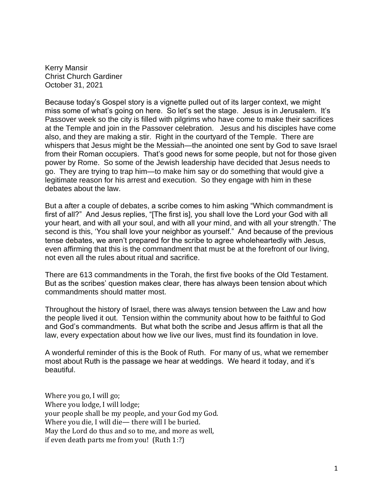Kerry Mansir Christ Church Gardiner October 31, 2021

Because today's Gospel story is a vignette pulled out of its larger context, we might miss some of what's going on here. So let's set the stage. Jesus is in Jerusalem. It's Passover week so the city is filled with pilgrims who have come to make their sacrifices at the Temple and join in the Passover celebration. Jesus and his disciples have come also, and they are making a stir. Right in the courtyard of the Temple. There are whispers that Jesus might be the Messiah—the anointed one sent by God to save Israel from their Roman occupiers. That's good news for some people, but not for those given power by Rome. So some of the Jewish leadership have decided that Jesus needs to go. They are trying to trap him—to make him say or do something that would give a legitimate reason for his arrest and execution. So they engage with him in these debates about the law.

But a after a couple of debates, a scribe comes to him asking "Which commandment is first of all?" And Jesus replies, "[The first is], you shall love the Lord your God with all your heart, and with all your soul, and with all your mind, and with all your strength.' The second is this, 'You shall love your neighbor as yourself." And because of the previous tense debates, we aren't prepared for the scribe to agree wholeheartedly with Jesus, even affirming that this is the commandment that must be at the forefront of our living, not even all the rules about ritual and sacrifice.

There are 613 commandments in the Torah, the first five books of the Old Testament. But as the scribes' question makes clear, there has always been tension about which commandments should matter most.

Throughout the history of Israel, there was always tension between the Law and how the people lived it out. Tension within the community about how to be faithful to God and God's commandments. But what both the scribe and Jesus affirm is that all the law, every expectation about how we live our lives, must find its foundation in love.

A wonderful reminder of this is the Book of Ruth. For many of us, what we remember most about Ruth is the passage we hear at weddings. We heard it today, and it's beautiful.

Where you go, I will go; Where you lodge, I will lodge; your people shall be my people, and your God my God. Where you die, I will die— there will I be buried. May the Lord do thus and so to me, and more as well, if even death parts me from you! (Ruth 1:?)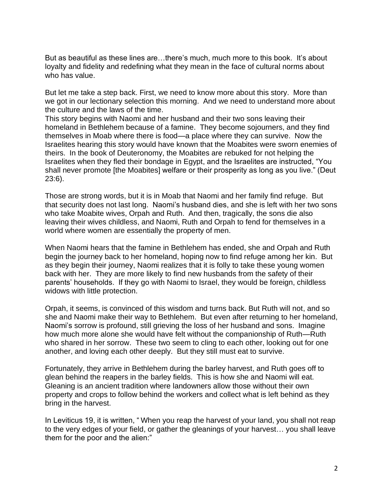But as beautiful as these lines are…there's much, much more to this book. It's about loyalty and fidelity and redefining what they mean in the face of cultural norms about who has value.

But let me take a step back. First, we need to know more about this story. More than we got in our lectionary selection this morning. And we need to understand more about the culture and the laws of the time.

This story begins with Naomi and her husband and their two sons leaving their homeland in Bethlehem because of a famine. They become sojourners, and they find themselves in Moab where there is food—a place where they can survive. Now the Israelites hearing this story would have known that the Moabites were sworn enemies of theirs. In the book of Deuteronomy, the Moabites are rebuked for not helping the Israelites when they fled their bondage in Egypt, and the Israelites are instructed, "You shall never promote [the Moabites] welfare or their prosperity as long as you live." (Deut 23:6).

Those are strong words, but it is in Moab that Naomi and her family find refuge. But that security does not last long. Naomi's husband dies, and she is left with her two sons who take Moabite wives, Orpah and Ruth. And then, tragically, the sons die also leaving their wives childless, and Naomi, Ruth and Orpah to fend for themselves in a world where women are essentially the property of men.

When Naomi hears that the famine in Bethlehem has ended, she and Orpah and Ruth begin the journey back to her homeland, hoping now to find refuge among her kin. But as they begin their journey, Naomi realizes that it is folly to take these young women back with her. They are more likely to find new husbands from the safety of their parents' households. If they go with Naomi to Israel, they would be foreign, childless widows with little protection.

Orpah, it seems, is convinced of this wisdom and turns back. But Ruth will not, and so she and Naomi make their way to Bethlehem. But even after returning to her homeland, Naomi's sorrow is profound, still grieving the loss of her husband and sons. Imagine how much more alone she would have felt without the companionship of Ruth—Ruth who shared in her sorrow. These two seem to cling to each other, looking out for one another, and loving each other deeply. But they still must eat to survive.

Fortunately, they arrive in Bethlehem during the barley harvest, and Ruth goes off to glean behind the reapers in the barley fields. This is how she and Naomi will eat. Gleaning is an ancient tradition where landowners allow those without their own property and crops to follow behind the workers and collect what is left behind as they bring in the harvest.

In Leviticus 19, it is written, " When you reap the harvest of your land, you shall not reap to the very edges of your field, or gather the gleanings of your harvest… you shall leave them for the poor and the alien:"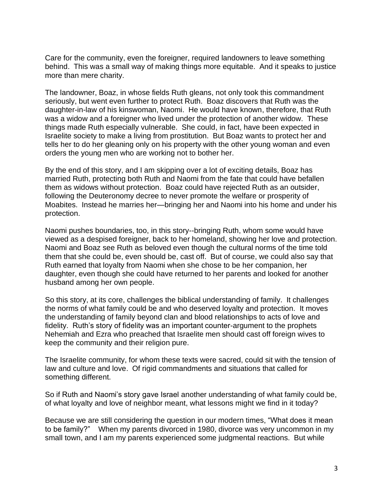Care for the community, even the foreigner, required landowners to leave something behind. This was a small way of making things more equitable. And it speaks to justice more than mere charity.

The landowner, Boaz, in whose fields Ruth gleans, not only took this commandment seriously, but went even further to protect Ruth. Boaz discovers that Ruth was the daughter-in-law of his kinswoman, Naomi. He would have known, therefore, that Ruth was a widow and a foreigner who lived under the protection of another widow. These things made Ruth especially vulnerable. She could, in fact, have been expected in Israelite society to make a living from prostitution. But Boaz wants to protect her and tells her to do her gleaning only on his property with the other young woman and even orders the young men who are working not to bother her.

By the end of this story, and I am skipping over a lot of exciting details, Boaz has married Ruth, protecting both Ruth and Naomi from the fate that could have befallen them as widows without protection. Boaz could have rejected Ruth as an outsider, following the Deuteronomy decree to never promote the welfare or prosperity of Moabites. Instead he marries her—bringing her and Naomi into his home and under his protection.

Naomi pushes boundaries, too, in this story--bringing Ruth, whom some would have viewed as a despised foreigner, back to her homeland, showing her love and protection. Naomi and Boaz see Ruth as beloved even though the cultural norms of the time told them that she could be, even should be, cast off. But of course, we could also say that Ruth earned that loyalty from Naomi when she chose to be her companion, her daughter, even though she could have returned to her parents and looked for another husband among her own people.

So this story, at its core, challenges the biblical understanding of family. It challenges the norms of what family could be and who deserved loyalty and protection. It moves the understanding of family beyond clan and blood relationships to acts of love and fidelity. Ruth's story of fidelity was an important counter-argument to the prophets Nehemiah and Ezra who preached that Israelite men should cast off foreign wives to keep the community and their religion pure.

The Israelite community, for whom these texts were sacred, could sit with the tension of law and culture and love. Of rigid commandments and situations that called for something different.

So if Ruth and Naomi's story gave Israel another understanding of what family could be, of what loyalty and love of neighbor meant, what lessons might we find in it today?

Because we are still considering the question in our modern times, "What does it mean to be family?" When my parents divorced in 1980, divorce was very uncommon in my small town, and I am my parents experienced some judgmental reactions. But while